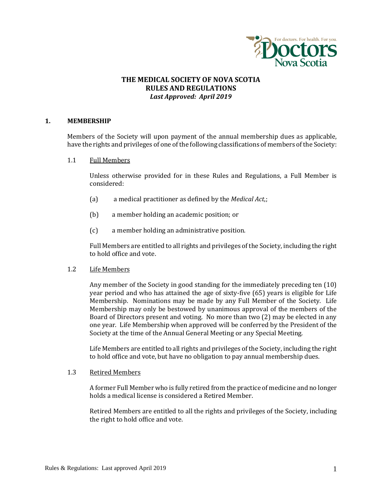

# **THE MEDICAL SOCIETY OF NOVA SCOTIA RULES AND REGULATIONS** *Last Approved: April 2019*

### **1. MEMBERSHIP**

Members of the Society will upon payment of the annual membership dues as applicable, have the rights and privileges of one of the following classifications of members of the Society:

1.1 Full Members

Unless otherwise provided for in these Rules and Regulations, a Full Member is considered:

- (a) a medical practitioner as defined by the *Medical Act*,;
- (b) a member holding an academic position; or
- (c) a member holding an administrative position.

Full Members are entitled to all rights and privileges of the Society, including the right to hold office and vote.

1.2 Life Members

Any member of the Society in good standing for the immediately preceding ten (10) year period and who has attained the age of sixty-five (65) years is eligible for Life Membership. Nominations may be made by any Full Member of the Society. Life Membership may only be bestowed by unanimous approval of the members of the Board of Directors present and voting. No more than two (2) may be elected in any one year. Life Membership when approved will be conferred by the President of the Society at the time of the Annual General Meeting or any Special Meeting.

Life Members are entitled to all rights and privileges of the Society, including the right to hold office and vote, but have no obligation to pay annual membership dues.

### 1.3 Retired Members

A former Full Member who is fully retired from the practice of medicine and no longer holds a medical license is considered a Retired Member.

Retired Members are entitled to all the rights and privileges of the Society, including the right to hold office and vote.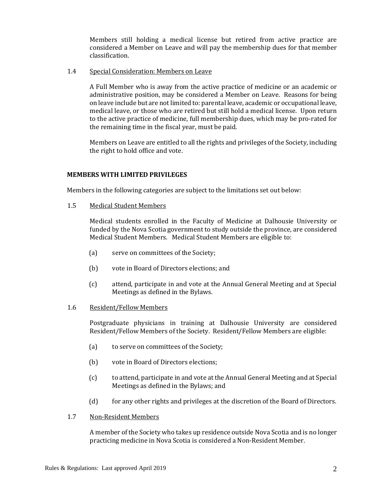Members still holding a medical license but retired from active practice are considered a Member on Leave and will pay the membership dues for that member classification.

### 1.4 Special Consideration: Members on Leave

A Full Member who is away from the active practice of medicine or an academic or administrative position, may be considered a Member on Leave. Reasons for being on leave include but are not limited to: parental leave, academic or occupational leave, medical leave, or those who are retired but still hold a medical license. Upon return to the active practice of medicine, full membership dues, which may be pro-rated for the remaining time in the fiscal year, must be paid.

Members on Leave are entitled to all the rights and privileges of the Society, including the right to hold office and vote.

### **MEMBERS WITH LIMITED PRIVILEGES**

Members in the following categories are subject to the limitations set out below:

1.5 Medical Student Members

Medical students enrolled in the Faculty of Medicine at Dalhousie University or funded by the Nova Scotia government to study outside the province, are considered Medical Student Members. Medical Student Members are eligible to:

- (a) serve on committees of the Society;
- (b) vote in Board of Directors elections; and
- (c) attend, participate in and vote at the Annual General Meeting and at Special Meetings as defined in the Bylaws.

#### 1.6 Resident/Fellow Members

Postgraduate physicians in training at Dalhousie University are considered Resident/Fellow Members of the Society. Resident/Fellow Members are eligible:

- (a) to serve on committees of the Society;
- (b) vote in Board of Directors elections;
- (c) to attend, participate in and vote at the Annual General Meeting and at Special Meetings as defined in the Bylaws; and
- (d) for any other rights and privileges at the discretion of the Board of Directors.
- 1.7 Non-Resident Members

A member of the Society who takes up residence outside Nova Scotia and is no longer practicing medicine in Nova Scotia is considered a Non-Resident Member.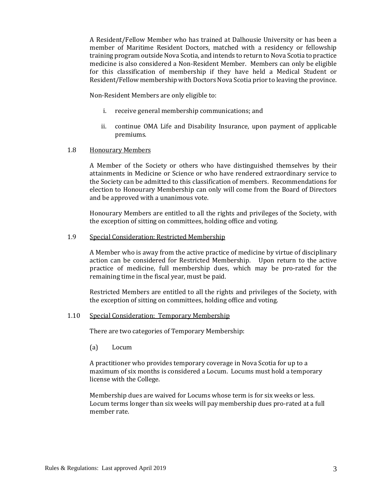A Resident/Fellow Member who has trained at Dalhousie University or has been a member of Maritime Resident Doctors, matched with a residency or fellowship training program outside Nova Scotia, and intends to return to Nova Scotia to practice medicine is also considered a Non-Resident Member. Members can only be eligible for this classification of membership if they have held a Medical Student or Resident/Fellow membership with Doctors Nova Scotia prior to leaving the province.

Non-Resident Members are only eligible to:

- i. receive general membership communications; and
- ii. continue OMA Life and Disability Insurance, upon payment of applicable premiums.

### 1.8 Honourary Members

A Member of the Society or others who have distinguished themselves by their attainments in Medicine or Science or who have rendered extraordinary service to the Society can be admitted to this classification of members. Recommendations for election to Honourary Membership can only will come from the Board of Directors and be approved with a unanimous vote.

Honourary Members are entitled to all the rights and privileges of the Society, with the exception of sitting on committees, holding office and voting.

#### 1.9 Special Consideration: Restricted Membership

A Member who is away from the active practice of medicine by virtue of disciplinary action can be considered for Restricted Membership. Upon return to the active practice of medicine, full membership dues, which may be pro-rated for the remaining time in the fiscal year, must be paid.

Restricted Members are entitled to all the rights and privileges of the Society, with the exception of sitting on committees, holding office and voting.

### 1.10 Special Consideration: Temporary Membership

There are two categories of Temporary Membership:

(a) Locum

A practitioner who provides temporary coverage in Nova Scotia for up to a maximum of six months is considered a Locum. Locums must hold a temporary license with the College.

Membership dues are waived for Locums whose term is for six weeks or less. Locum terms longer than six weeks will pay membership dues pro-rated at a full member rate.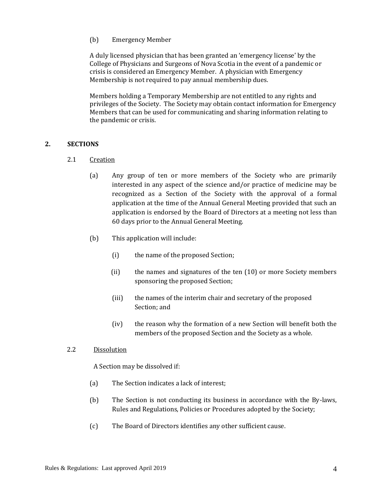# (b) Emergency Member

A duly licensed physician that has been granted an 'emergency license' by the College of Physicians and Surgeons of Nova Scotia in the event of a pandemic or crisis is considered an Emergency Member. A physician with Emergency Membership is not required to pay annual membership dues.

Members holding a Temporary Membership are not entitled to any rights and privileges of the Society. The Society may obtain contact information for Emergency Members that can be used for communicating and sharing information relating to the pandemic or crisis.

# **2. SECTIONS**

- 2.1 Creation
	- (a) Any group of ten or more members of the Society who are primarily interested in any aspect of the science and/or practice of medicine may be recognized as a Section of the Society with the approval of a formal application at the time of the Annual General Meeting provided that such an application is endorsed by the Board of Directors at a meeting not less than 60 days prior to the Annual General Meeting.
	- (b) This application will include:
		- (i) the name of the proposed Section;
		- (ii) the names and signatures of the ten (10) or more Society members sponsoring the proposed Section;
		- (iii) the names of the interim chair and secretary of the proposed Section; and
		- (iv) the reason why the formation of a new Section will benefit both the members of the proposed Section and the Society as a whole.

## 2.2 Dissolution

A Section may be dissolved if:

- (a) The Section indicates a lack of interest;
- (b) The Section is not conducting its business in accordance with the By-laws, Rules and Regulations, Policies or Procedures adopted by the Society;
- (c) The Board of Directors identifies any other sufficient cause.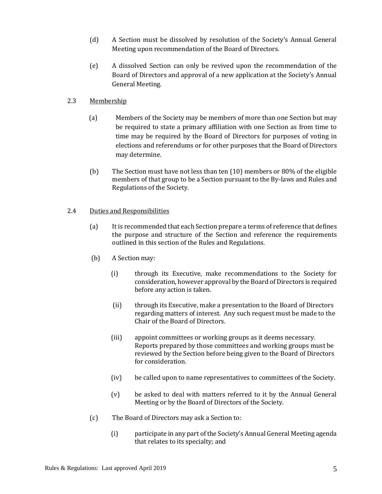- (d) A Section must be dissolved by resolution of the Society's Annual General Meeting upon recommendation of the Board of Directors.
- (e) A dissolved Section can only be revived upon the recommendation of the Board of Directors and approval of a new application at the Society's Annual General Meeting.

# 2.3 Membership

- (a) Members of the Society may be members of more than one Section but may be required to state a primary affiliation with one Section as from time to time may be required by the Board of Directors for purposes of voting in elections and referendums or for other purposes that the Board of Directors may determine.
- (b) The Section must have not less than ten (10) members or 80% of the eligible members of that group to be a Section pursuant to the By-laws and Rules and Regulations of the Society.

# 2.4 Duties and Responsibilities

- (a) It is recommended that each Section prepare a terms of reference that defines the purpose and structure of the Section and reference the requirements outlined in this section of the Rules and Regulations.
- (b) A Section may:
	- (i) through its Executive, make recommendations to the Society for consideration, however approval by the Board of Directors is required before any action is taken.
	- (ii) through its Executive, make a presentation to the Board of Directors regarding matters of interest. Any such request must be made to the Chair of the Board of Directors.
	- (iii) appoint committees or working groups as it deems necessary. Reports prepared by those committees and working groups must be reviewed by the Section before being given to the Board of Directors for consideration.
	- (iv) be called upon to name representatives to committees of the Society.
	- (v) be asked to deal with matters referred to it by the Annual General Meeting or by the Board of Directors of the Society.
- (c) The Board of Directors may ask a Section to:
	- (i) participate in any part of the Society's Annual General Meeting agenda that relates to its specialty; and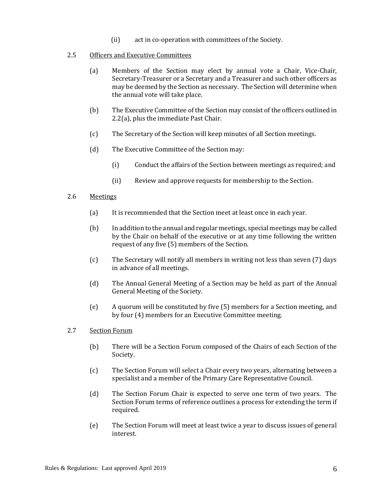(ii) act in co-operation with committees of the Society.

## 2.5 Officers and Executive Committees

- (a) Members of the Section may elect by annual vote a Chair, Vice-Chair, Secretary-Treasurer or a Secretary and a Treasurer and such other officers as may be deemed by the Section as necessary. The Section will determine when the annual vote will take place.
- (b) The Executive Committee of the Section may consist of the officers outlined in 2.2(a), plus the immediate Past Chair.
- (c) The Secretary of the Section will keep minutes of all Section meetings.
- (d) The Executive Committee of the Section may:
	- (i) Conduct the affairs of the Section between meetings as required; and
	- (ii) Review and approve requests for membership to the Section.

# 2.6 Meetings

- (a) It is recommended that the Section meet at least once in each year.
- (b) In addition to the annual and regular meetings, special meetings may be called by the Chair on behalf of the executive or at any time following the written request of any five (5) members of the Section.
- (c) The Secretary will notify all members in writing not less than seven (7) days in advance of all meetings.
- (d) The Annual General Meeting of a Section may be held as part of the Annual General Meeting of the Society.
- (e) A quorum will be constituted by five (5) members for a Section meeting, and by four (4) members for an Executive Committee meeting.

## 2.7 Section Forum

- (b) There will be a Section Forum composed of the Chairs of each Section of the Society.
- (c) The Section Forum will select a Chair every two years, alternating between a specialist and a member of the Primary Care Representative Council.
- (d) The Section Forum Chair is expected to serve one term of two years. The Section Forum terms of reference outlines a process for extending the term if required.
- (e) The Section Forum will meet at least twice a year to discuss issues of general interest.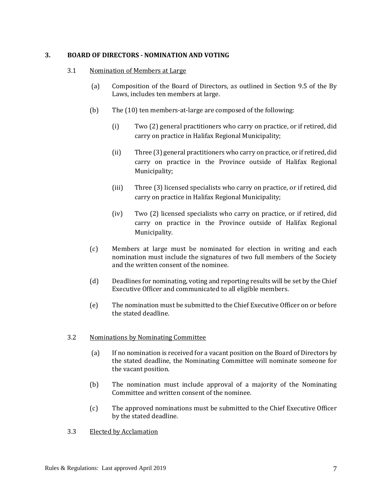## **3. BOARD OF DIRECTORS - NOMINATION AND VOTING**

## 3.1 Nomination of Members at Large

- (a) Composition of the Board of Directors, as outlined in Section 9.5 of the By Laws, includes ten members at large.
- (b) The (10) ten members-at-large are composed of the following:
	- (i) Two (2) general practitioners who carry on practice, or if retired, did carry on practice in Halifax Regional Municipality;
	- (ii) Three (3) general practitioners who carry on practice, or if retired, did carry on practice in the Province outside of Halifax Regional Municipality;
	- (iii) Three (3) licensed specialists who carry on practice, or if retired, did carry on practice in Halifax Regional Municipality;
	- (iv) Two (2) licensed specialists who carry on practice, or if retired, did carry on practice in the Province outside of Halifax Regional Municipality.
- (c) Members at large must be nominated for election in writing and each nomination must include the signatures of two full members of the Society and the written consent of the nominee.
- (d) Deadlines for nominating, voting and reporting results will be set by the Chief Executive Officer and communicated to all eligible members.
- (e) The nomination must be submitted to the Chief Executive Officer on or before the stated deadline.

## 3.2 Nominations by Nominating Committee

- (a) If no nomination is received for a vacant position on the Board of Directors by the stated deadline, the Nominating Committee will nominate someone for the vacant position.
- (b) The nomination must include approval of a majority of the Nominating Committee and written consent of the nominee.
- (c) The approved nominations must be submitted to the Chief Executive Officer by the stated deadline.
- 3.3 Elected by Acclamation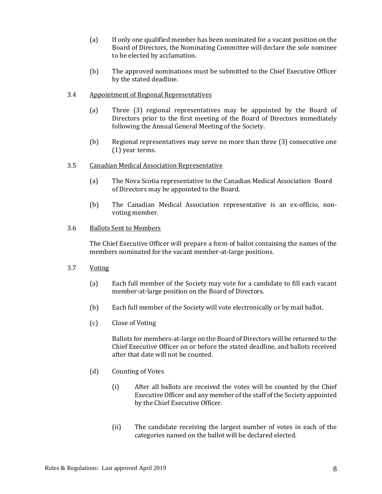- (a) If only one qualified member has been nominated for a vacant position on the Board of Directors, the Nominating Committee will declare the sole nominee to be elected by acclamation.
- (b) The approved nominations must be submitted to the Chief Executive Officer by the stated deadline.
- 3.4 Appointment of Regional Representatives
	- (a) Three (3) regional representatives may be appointed by the Board of Directors prior to the first meeting of the Board of Directors immediately following the Annual General Meeting of the Society.
	- (b) Regional representatives may serve no more than three (3) consecutive one (1) year terms.
- 3.5 Canadian Medical Association Representative
	- (a) The Nova Scotia representative to the Canadian Medical Association Board of Directors may be appointed to the Board.
	- (b) The Canadian Medical Association representative is an ex-officio, nonvoting member.
- 3.6 Ballots Sent to Members

The Chief Executive Officer will prepare a form of ballot containing the names of the members nominated for the vacant member-at-large positions.

- 3.7 Voting
	- (a) Each full member of the Society may vote for a candidate to fill each vacant member-at-large position on the Board of Directors.
	- (b) Each full member of the Society will vote electronically or by mail ballot.
	- (c) Close of Voting

Ballots for members-at-large on the Board of Directors will be returned to the Chief Executive Officer on or before the stated deadline, and ballots received after that date will not be counted.

- (d) Counting of Votes
	- (i) After all ballots are received the votes will be counted by the Chief Executive Officer and any member of the staff of the Society appointed by the Chief Executive Officer.
	- (ii) The candidate receiving the largest number of votes in each of the categories named on the ballot will be declared elected.